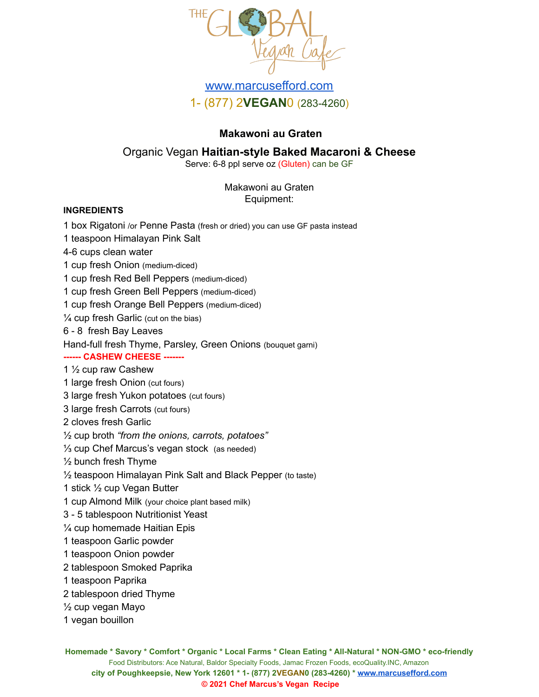

# [www.marcusefford.com](http://www.marcusefford.com) 1- (877) 2**VEGAN**0 (283-4260)

### **Makawoni au Graten**

## Organic Vegan **Haitian-style Baked Macaroni & Cheese**

Serve: 6-8 ppl serve oz (Gluten) can be GF

Makawoni au Graten Equipment:

#### **INGREDIENTS**

box Rigatoni /or Penne Pasta (fresh or dried) you can use GF pasta instead

- teaspoon Himalayan Pink Salt
- 4-6 cups clean water
- cup fresh Onion (medium-diced)
- cup fresh Red Bell Peppers (medium-diced)
- cup fresh Green Bell Peppers (medium-diced)

cup fresh Orange Bell Peppers (medium-diced)

- $\frac{1}{4}$  cup fresh Garlic (cut on the bias)
- 8 fresh Bay Leaves
- Hand-full fresh Thyme, Parsley, Green Onions (bouquet garni)

#### **------ CASHEW CHEESE -------**

- ½ cup raw Cashew
- large fresh Onion (cut fours)
- large fresh Yukon potatoes (cut fours)
- large fresh Carrots (cut fours)
- cloves fresh Garlic
- cup broth *"from the onions, carrots, potatoes"*
- cup Chef Marcus's vegan stock (as needed)
- bunch fresh Thyme
- teaspoon Himalayan Pink Salt and Black Pepper (to taste)
- stick ½ cup Vegan Butter
- cup Almond Milk (your choice plant based milk)
- 5 tablespoon Nutritionist Yeast
- cup homemade Haitian Epis
- teaspoon Garlic powder
- teaspoon Onion powder
- tablespoon Smoked Paprika
- teaspoon Paprika
- tablespoon dried Thyme
- cup vegan Mayo
- vegan bouillon

**Homemade \* Savory \* Comfort \* Organic \* Local Farms \* Clean Eating \* All-Natural \* NON-GMO \* eco-friendly** Food Distributors: Ace Natural, Baldor Specialty Foods, Jamac Frozen Foods, ecoQuality.INC, Amazon **city of Poughkeepsie, New York 12601 \* 1- (877) 2VEGAN0 (283-4260) \* [www.marcusefford.com](http://www.marcusefford.com) © 2021 Chef Marcus's Vegan Recipe**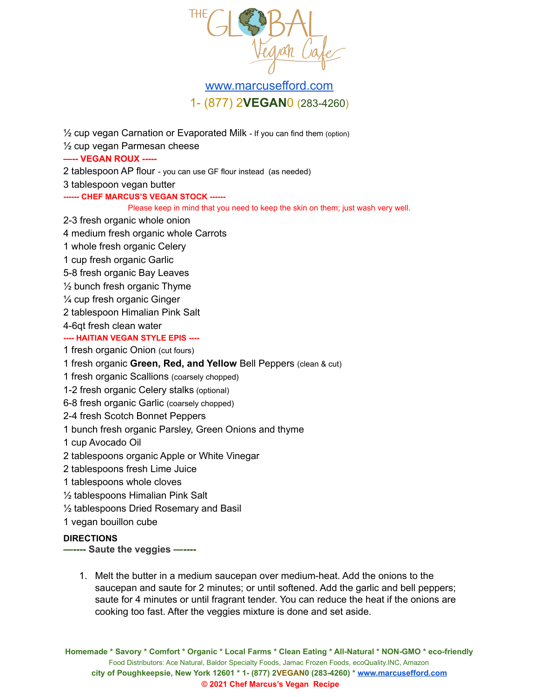

[www.marcusefford.com](http://www.marcusefford.com) 1- (877) 2**VEGAN**0 (283-4260)

½ cup vegan Carnation or Evaporated Milk - If you can find them (option) ½ cup vegan Parmesan cheese **—-- VEGAN ROUX -----** 2 tablespoon AP flour - you can use GF flour instead (as needed) 3 tablespoon vegan butter **------ CHEF MARCUS'S VEGAN STOCK ------** Please keep in mind that you need to keep the skin on them; just wash very well. 2-3 fresh organic whole onion 4 medium fresh organic whole Carrots 1 whole fresh organic Celery 1 cup fresh organic Garlic 5-8 fresh organic Bay Leaves ½ bunch fresh organic Thyme ¼ cup fresh organic Ginger 2 tablespoon Himalian Pink Salt 4-6qt fresh clean water **---- HAITIAN VEGAN STYLE EPIS ----** 1 fresh organic Onion (cut fours) 1 fresh organic **Green, Red, and Yellow** Bell Peppers (clean & cut) 1 fresh organic Scallions (coarsely chopped) 1-2 fresh organic Celery stalks (optional) 6-8 fresh organic Garlic (coarsely chopped) 2-4 fresh Scotch Bonnet Peppers 1 bunch fresh organic Parsley, Green Onions and thyme 1 cup Avocado Oil 2 tablespoons organic Apple or White Vinegar 2 tablespoons fresh Lime Juice 1 tablespoons whole cloves ½ tablespoons Himalian Pink Salt ½ tablespoons Dried Rosemary and Basil 1 vegan bouillon cube

#### **DIRECTIONS**

**—---- Saute the veggies —----**

1. Melt the butter in a medium saucepan over medium-heat. Add the onions to the saucepan and saute for 2 minutes; or until softened. Add the garlic and bell peppers; saute for 4 minutes or until fragrant tender. You can reduce the heat if the onions are cooking too fast. After the veggies mixture is done and set aside.

**Homemade \* Savory \* Comfort \* Organic \* Local Farms \* Clean Eating \* All-Natural \* NON-GMO \* eco-friendly** Food Distributors: Ace Natural, Baldor Specialty Foods, Jamac Frozen Foods, ecoQuality.INC, Amazon **city of Poughkeepsie, New York 12601 \* 1- (877) 2VEGAN0 (283-4260) \* [www.marcusefford.com](http://www.marcusefford.com) © 2021 Chef Marcus's Vegan Recipe**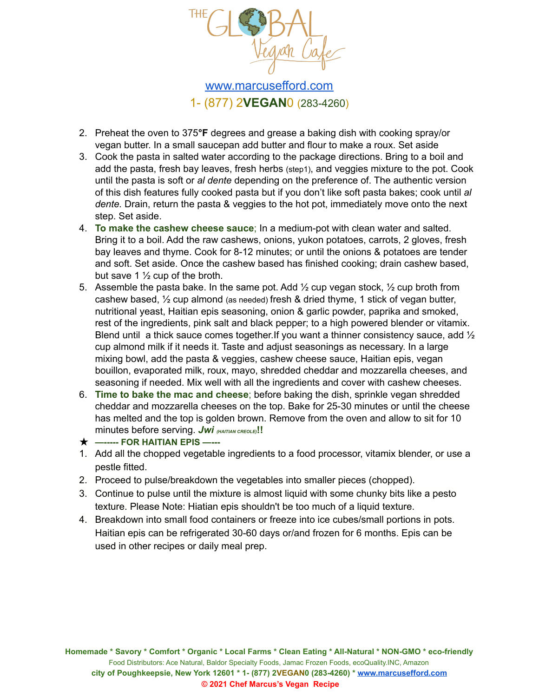

[www.marcusefford.com](http://www.marcusefford.com) 1- (877) 2**VEGAN**0 (283-4260)

- 2. Preheat the oven to 375**°F** degrees and grease a baking dish with cooking spray/or vegan butter. In a small saucepan add butter and flour to make a roux. Set aside
- 3. Cook the pasta in salted water according to the package directions. Bring to a boil and add the pasta, fresh bay leaves, fresh herbs (step1), and veggies mixture to the pot. Cook until the pasta is soft or *al dente* depending on the preference of. The authentic version of this dish features fully cooked pasta but if you don't like soft pasta bakes; cook until *al dente.* Drain, return the pasta & veggies to the hot pot, immediately move onto the next step. Set aside.
- 4. **To make the cashew cheese sauce**; In a medium-pot with clean water and salted. Bring it to a boil. Add the raw cashews, onions, yukon potatoes, carrots, 2 gloves, fresh bay leaves and thyme. Cook for 8-12 minutes; or until the onions & potatoes are tender and soft. Set aside. Once the cashew based has finished cooking; drain cashew based, but save 1  $\frac{1}{2}$  cup of the broth.
- 5. Assemble the pasta bake. In the same pot. Add  $\frac{1}{2}$  cup vegan stock,  $\frac{1}{2}$  cup broth from cashew based, ½ cup almond (as needed) fresh & dried thyme, 1 stick of vegan butter, nutritional yeast, Haitian epis seasoning, onion & garlic powder, paprika and smoked, rest of the ingredients, pink salt and black pepper; to a high powered blender or vitamix. Blend until a thick sauce comes together. If you want a thinner consistency sauce, add  $\frac{1}{2}$ cup almond milk if it needs it. Taste and adjust seasonings as necessary. In a large mixing bowl, add the pasta & veggies, cashew cheese sauce, Haitian epis, vegan bouillon, evaporated milk, roux, mayo, shredded cheddar and mozzarella cheeses, and seasoning if needed. Mix well with all the ingredients and cover with cashew cheeses.
- 6. **Time to bake the mac and cheese**; before baking the dish, sprinkle vegan shredded cheddar and mozzarella cheeses on the top. Bake for 25-30 minutes or until the cheese has melted and the top is golden brown. Remove from the oven and allow to sit for 10 minutes before serving. *Jwi (HAITIAN CREOLE)***!!**
- ★ **—----- FOR HAITIAN EPIS —---**
- 1. Add all the chopped vegetable ingredients to a food processor, vitamix blender, or use a pestle fitted.
- 2. Proceed to pulse/breakdown the vegetables into smaller pieces (chopped).
- 3. Continue to pulse until the mixture is almost liquid with some chunky bits like a pesto texture. Please Note: Hiatian epis shouldn't be too much of a liquid texture.
- 4. Breakdown into small food containers or freeze into ice cubes/small portions in pots. Haitian epis can be refrigerated 30-60 days or/and frozen for 6 months. Epis can be used in other recipes or daily meal prep.